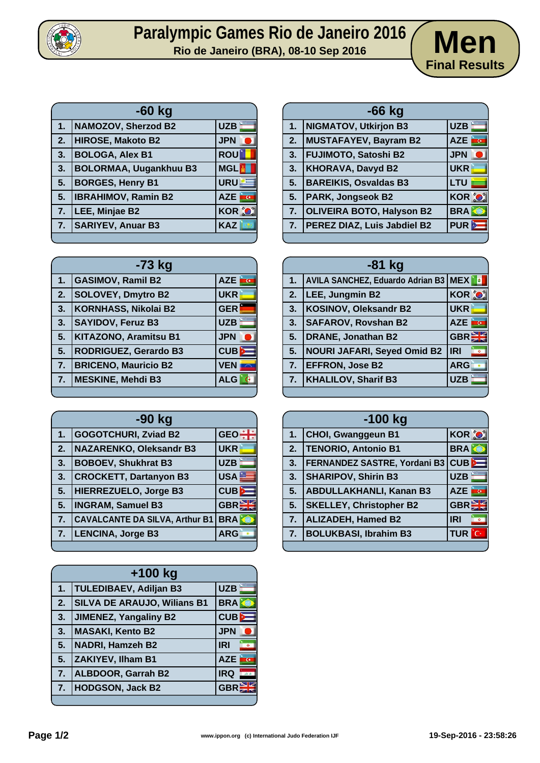

## Paralympic Games Rio de Janeiro 2016 **Men**<br>**Rio de Janeiro (BRA), 08-10 Sep 2016 Men**



| $-60$ kg |                               |                              |
|----------|-------------------------------|------------------------------|
| 1.       | <b>NAMOZOV, Sherzod B2</b>    | <b>UZB</b>                   |
| 2.       | <b>HIROSE, Makoto B2</b>      | <b>JPN</b>                   |
| 3.       | <b>BOLOGA, Alex B1</b>        | <b>ROU</b>                   |
| 3.       | <b>BOLORMAA, Uugankhuu B3</b> | <b>MGL</b>                   |
| 5.       | <b>BORGES, Henry B1</b>       | URU                          |
| 5.       | <b>IBRAHIMOV, Ramin B2</b>    | <b>AZE</b><br>$\overline{G}$ |
| 7.       | LEE, Minjae B2                | <b>KOR O</b>                 |
| 7.       | <b>SARIYEV, Anuar B3</b>      | <b>KAZ</b>                   |

| $-66$ kg |                                  |                  |
|----------|----------------------------------|------------------|
| 1.       | NIGMATOV, Utkirjon B3            | <b>UZB</b>       |
| 2.       | MUSTAFAYEV, Bayram B2            | īσ<br><b>AZE</b> |
| 3.       | <b>FUJIMOTO, Satoshi B2</b>      | <b>JPN</b>       |
| 3.       | <b>KHORAVA, Davyd B2</b>         | <b>UKR</b>       |
| 5.       | <b>BAREIKIS, Osvaldas B3</b>     | <b>LTU</b>       |
| 5.       | <b>PARK, Jongseok B2</b>         | <b>KOR O</b>     |
| 7.       | <b>OLIVEIRA BOTO, Halyson B2</b> | <b>BRA</b>       |
| 7.       | PEREZ DIAZ, Luis Jabdiel B2      | PUR <sup>b</sup> |
|          |                                  |                  |

| -73 kg           |                              |            |
|------------------|------------------------------|------------|
| $\mathbf 1$ .    | <b>GASIMOV, Ramil B2</b>     | <b>AZE</b> |
| 2.               | <b>SOLOVEY, Dmytro B2</b>    | <b>UKR</b> |
| 3.               | <b>KORNHASS, Nikolai B2</b>  | <b>GER</b> |
| 3.               | <b>SAYIDOV, Feruz B3</b>     | <b>UZB</b> |
| 5.               | <b>KITAZONO, Aramitsu B1</b> | <b>JPN</b> |
| 5.               | <b>RODRIGUEZ, Gerardo B3</b> | $CUB$ $E$  |
| $\overline{7}$ . | <b>BRICENO, Mauricio B2</b>  | <b>VEN</b> |
| 7.               | <b>MESKINE, Mehdi B3</b>     | <b>ALG</b> |
|                  |                              |            |

| -90 kg |                                       |              |
|--------|---------------------------------------|--------------|
| 1.     | <b>GOGOTCHURI, Zviad B2</b>           | <b>GEO</b>   |
| 2.     | <b>NAZARENKO, Oleksandr B3</b>        | <b>UKR</b>   |
| 3.     | <b>BOBOEV, Shukhrat B3</b>            | <b>UZB</b>   |
| 3.     | <b>CROCKETT, Dartanyon B3</b>         | <b>USA</b>   |
| 5.     | HIERREZUELO, Jorge B3                 | $CUB$ $E$    |
| 5.     | <b>INGRAM, Samuel B3</b>              | <b>GBREE</b> |
| 7.     | <b>CAVALCANTE DA SILVA, Arthur B1</b> | <b>BRA</b>   |
| 7.     | <b>LENCINA, Jorge B3</b>              | <b>ARG</b>   |
|        |                                       |              |

| $+100$ kg |                                    |                                       |
|-----------|------------------------------------|---------------------------------------|
| 1.        | <b>TULEDIBAEV, Adiljan B3</b>      | <b>UZB</b>                            |
| 2.        | <b>SILVA DE ARAUJO, Wilians B1</b> | <b>BRA</b>                            |
| 3.        | <b>JIMENEZ, Yangaliny B2</b>       | $CUB$ $\equiv$                        |
| 3.        | <b>MASAKI, Kento B2</b>            | <b>JPN</b>                            |
| 5.        | <b>NADRI, Hamzeh B2</b>            | <b>IRI</b><br>$\overline{\mathbf{9}}$ |
| 5.        | <b>ZAKIYEV, Ilham B1</b>           | ing a<br><b>AZE</b>                   |
| 7.        | ALBDOOR, Garrah B2                 | <b>IRQ</b><br>石画                      |
| 7.        | <b>HODGSON, Jack B2</b>            | <b>GBR</b>                            |
|           |                                    |                                       |

| $-81$ kg |                                             |                                        |
|----------|---------------------------------------------|----------------------------------------|
| 1.       | <b>AVILA SANCHEZ, Eduardo Adrian B3 MEX</b> | $  \cdot  $ a                          |
| 2.       | LEE, Jungmin B2                             | <b>KOR OF</b>                          |
| 3.       | <b>KOSINOV, Oleksandr B2</b>                | <b>UKR</b>                             |
| 3.       | <b>SAFAROV, Rovshan B2</b>                  | <u>ira</u><br><b>AZE</b>               |
| 5.       | DRANE, Jonathan B2                          | <b>GBREE</b>                           |
| 5.       | NOURI JAFARI, Seyed Omid B2                 | <b>IRI</b><br>$\overline{\phantom{a}}$ |
| 7.       | <b>EFFRON, Jose B2</b>                      | <b>ARG</b>                             |
| 7.       | <b>KHALILOV, Sharif B3</b>                  | <b>UZB</b>                             |
|          |                                             |                                        |

| $-100$ kg |                                |                                       |
|-----------|--------------------------------|---------------------------------------|
| 1.        | <b>CHOI, Gwanggeun B1</b>      | <b>KOR O</b>                          |
| 2.        | TENORIO, Antonio B1            | <b>BRA</b>                            |
| 3.        | FERNANDEZ SASTRE, Yordani B3   | CUB                                   |
| 3.        | <b>SHARIPOV, Shirin B3</b>     | <b>UZB</b>                            |
| 5.        | <b>ABDULLAKHANLI, Kanan B3</b> | <b>AZE</b><br>$\overline{\mathbf{G}}$ |
| 5.        | <b>SKELLEY, Christopher B2</b> | <b>GBREE</b>                          |
| 7.        | <b>ALIZADEH, Hamed B2</b>      | <b>IRI</b>                            |
| 7.        | <b>BOLUKBASI, Ibrahim B3</b>   | TUR<br>$^{\circ}$ C+                  |
|           |                                |                                       |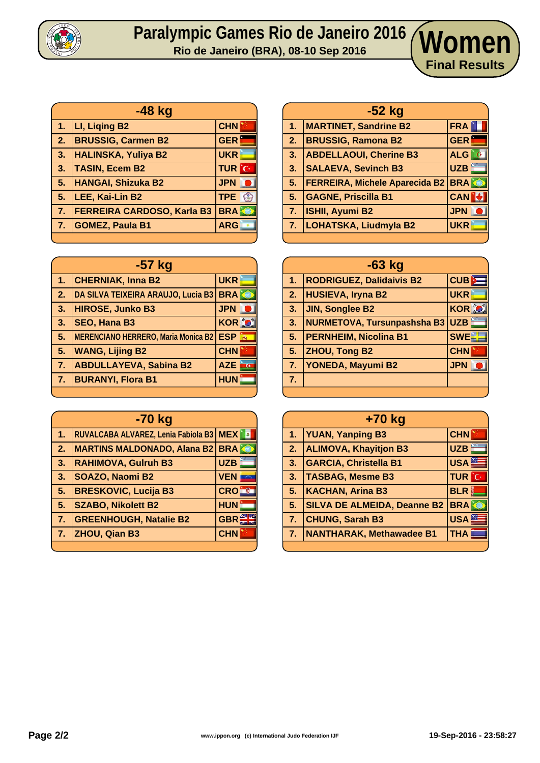

## **Paralympic Games Rio de Janeiro 2016 Rio de Janeiro (BRA), 08-10 Sep 2016 Women**

| -48 kg                            |              |
|-----------------------------------|--------------|
| LI, Liging B2                     | <b>CHN</b>   |
| <b>BRUSSIG, Carmen B2</b>         | <b>GER</b>   |
| <b>HALINSKA, Yuliya B2</b>        | <b>UKR</b>   |
| <b>TASIN, Ecem B2</b>             | <b>TUR</b> C |
| HANGAI, Shizuka B2                | <b>JPN</b>   |
| LEE, Kai-Lin B2                   | TPE &        |
| <b>FERREIRA CARDOSO, Karla B3</b> | <b>BRA</b>   |
| <b>GOMEZ, Paula B1</b>            | <b>ARG</b>   |
|                                   |              |

| $-57$ kg |                                            |                           |
|----------|--------------------------------------------|---------------------------|
| 1.       | <b>CHERNIAK, Inna B2</b>                   | <b>UKR</b>                |
| 2.       | DA SILVA TEIXEIRA ARAUJO, Lucia B3         | <b>BRAKE</b>              |
| 3.       | <b>HIROSE, Junko B3</b>                    | <b>JPN</b>                |
| 3.       | <b>SEO, Hana B3</b>                        | <b>KOR O</b>              |
| 5.       | <b>MERENCIANO HERRERO, Maria Monica B2</b> | <b>ESP</b><br>$\vec{m}_i$ |
| 5.       | <b>WANG, Lijing B2</b>                     | <b>CHN</b>                |
| 7.       | <b>ABDULLAYEVA, Sabina B2</b>              | <b>AZE</b>                |
| 7.       | <b>BURANYI, Flora B1</b>                   | <b>HUN</b>                |
|          |                                            |                           |

| -70 kg |                                               |                  |
|--------|-----------------------------------------------|------------------|
| 1.     | RUVALCABA ALVAREZ, Lenia Fabiola B3   MEX   8 |                  |
| 2.     | <b>MARTINS MALDONADO, Alana B2 BRA</b>        |                  |
| 3.     | <b>RAHIMOVA, Gulruh B3</b>                    | <b>UZB</b>       |
| 3.     | SOAZO, Naomi B2                               | <b>VEN</b>       |
| 5.     | <b>BRESKOVIC, Lucija B3</b>                   | <b>CRO</b>       |
| 5.     | <b>SZABO, Nikolett B2</b>                     | <b>HUN</b>       |
| 7.     | <b>GREENHOUGH, Natalie B2</b>                 | GBR <sup>E</sup> |
| 7.     | ZHOU, Qian B3                                 | <b>CHN</b>       |
|        |                                               |                  |

|    | $-52$ kg                              |            |
|----|---------------------------------------|------------|
| 47 | <b>MARTINET, Sandrine B2</b>          | <b>FRA</b> |
| 2. | <b>BRUSSIG, Ramona B2</b>             | <b>GER</b> |
| 3. | <b>ABDELLAOUI, Cherine B3</b>         | ALG        |
| 3. | <b>SALAEVA, Sevinch B3</b>            | UZB        |
| 5. | <b>FERREIRA, Michele Aparecida B2</b> | <b>BRA</b> |
| 5. | <b>GAGNE, Priscilla B1</b>            | <b>CAN</b> |
| 7. | <b>ISHII, Ayumi B2</b>                | <b>JPN</b> |
| 7. | LOHATSKA, Liudmyla B2                 | <b>UKR</b> |
|    |                                       |            |

**Final Results**

| $-63$ kg       |                                 |               |
|----------------|---------------------------------|---------------|
| $\mathbf{1}$ . | <b>RODRIGUEZ, Dalidaivis B2</b> | CUB           |
| 2.             | <b>HUSIEVA, Iryna B2</b>        | <b>UKR</b>    |
| 3.             | <b>JIN, Songlee B2</b>          | <b>KOR OF</b> |
| 3.             | NURMETOVA, Tursunpashsha B3     | <b>UZB</b>    |
| 5 <sub>1</sub> | <b>PERNHEIM, Nicolina B1</b>    | <b>SWE</b>    |
| 5.             | <b>ZHOU, Tong B2</b>            | <b>CHN</b>    |
| 7.             | <b>YONEDA, Mayumi B2</b>        | <b>JPN</b>    |
| 7.             |                                 |               |
|                |                                 |               |

| +70 kg |                                    |                  |  |  |  |  |  |
|--------|------------------------------------|------------------|--|--|--|--|--|
| 1.     | <b>YUAN, Yanping B3</b>            | <b>CHN</b>       |  |  |  |  |  |
| 2.     | <b>ALIMOVA, Khayitjon B3</b>       | <b>UZB</b>       |  |  |  |  |  |
| 3.     | <b>GARCIA, Christella B1</b>       | USA <sup>E</sup> |  |  |  |  |  |
| 3.     | <b>TASBAG, Mesme B3</b>            | <b>TUR</b> C     |  |  |  |  |  |
| 5.     | <b>KACHAN, Arina B3</b>            | <b>BLR</b>       |  |  |  |  |  |
| 5.     | <b>SILVA DE ALMEIDA, Deanne B2</b> | <b>BRA</b>       |  |  |  |  |  |
| 7.     | <b>CHUNG, Sarah B3</b>             | USA <b>■</b>     |  |  |  |  |  |
| 7.     | NANTHARAK, Methawadee B1           | <b>THA</b>       |  |  |  |  |  |
|        |                                    |                  |  |  |  |  |  |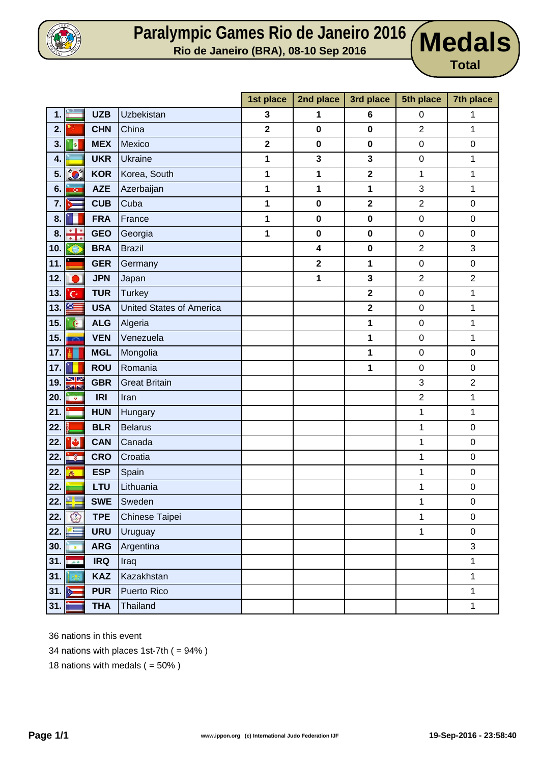

## **Paralympic Games Rio de Janeiro 2016 Rio de Janeiro (BRA), 08-10 Sep 2016 Medals**

**Total**

|                    |                                 |            |                                 | 1st place               | 2nd place               | 3rd place               | 5th place        | 7th place        |
|--------------------|---------------------------------|------------|---------------------------------|-------------------------|-------------------------|-------------------------|------------------|------------------|
| 1.                 |                                 | <b>UZB</b> | Uzbekistan                      | 3                       | 1                       | 6                       | $\boldsymbol{0}$ | 1                |
| 2.                 |                                 | <b>CHN</b> | China                           | $\overline{\mathbf{2}}$ | $\pmb{0}$               | $\pmb{0}$               | $\overline{2}$   | 1                |
| 3.                 | <b>a</b>                        | <b>MEX</b> | Mexico                          | $\mathbf 2$             | $\pmb{0}$               | $\pmb{0}$               | $\pmb{0}$        | $\pmb{0}$        |
| 4.                 |                                 | <b>UKR</b> | <b>Ukraine</b>                  | 1                       | $\mathbf{3}$            | $\mathbf{3}$            | $\pmb{0}$        | 1                |
| 5.                 | <b>O</b>                        | <b>KOR</b> | Korea, South                    | 1                       | 1                       | $\overline{\mathbf{2}}$ | 1                | 1                |
| 6.                 | $\overline{G}$                  | <b>AZE</b> | Azerbaijan                      | 1                       | 1                       | 1                       | 3                | 1                |
| 7.                 |                                 | <b>CUB</b> | Cuba                            | 1                       | $\pmb{0}$               | $\overline{\mathbf{2}}$ | $\overline{2}$   | 0                |
| 8.                 |                                 | <b>FRA</b> | France                          | 1                       | $\pmb{0}$               | $\pmb{0}$               | $\boldsymbol{0}$ | 0                |
| 8.                 | <u>+ 1 + </u><br>$\blacksquare$ | <b>GEO</b> | Georgia                         | 1                       | $\pmb{0}$               | 0                       | $\pmb{0}$        | 0                |
| 10.                |                                 | <b>BRA</b> | <b>Brazil</b>                   |                         | $\overline{\mathbf{4}}$ | $\pmb{0}$               | $\overline{2}$   | 3                |
| 11.                |                                 | <b>GER</b> | Germany                         |                         | $\mathbf 2$             | 1                       | 0                | 0                |
| 12.                |                                 | <b>JPN</b> | Japan                           |                         | 1                       | $\mathbf{3}$            | $\overline{2}$   | $\overline{2}$   |
| 13.                | Ċ.                              | <b>TUR</b> | <b>Turkey</b>                   |                         |                         | $\overline{\mathbf{2}}$ | $\mathsf 0$      | 1                |
| 13.                | œ                               | <b>USA</b> | <b>United States of America</b> |                         |                         | $\mathbf 2$             | $\pmb{0}$        | 1                |
| 15.                | $\mathbf{G}$                    | <b>ALG</b> | Algeria                         |                         |                         | 1                       | $\boldsymbol{0}$ | 1                |
| 15.                | 783                             | <b>VEN</b> | Venezuela                       |                         |                         | 1                       | $\mathbf 0$      | 1                |
| 17.                |                                 | <b>MGL</b> | Mongolia                        |                         |                         | 1                       | $\boldsymbol{0}$ | 0                |
| 17.                |                                 | <b>ROU</b> | Romania                         |                         |                         | 1                       | $\pmb{0}$        | $\boldsymbol{0}$ |
| 19.                | X                               | <b>GBR</b> | <b>Great Britain</b>            |                         |                         |                         | 3                | $\overline{2}$   |
| 20.                | <b>10.1</b>                     | <b>IRI</b> | Iran                            |                         |                         |                         | $\overline{2}$   | 1                |
| 21.                |                                 | <b>HUN</b> | Hungary                         |                         |                         |                         | $\mathbf 1$      | 1                |
| 22.                |                                 | <b>BLR</b> | <b>Belarus</b>                  |                         |                         |                         | $\mathbf 1$      | $\boldsymbol{0}$ |
| 22.                | ø                               | <b>CAN</b> | Canada                          |                         |                         |                         | 1                | 0                |
| 22.                | in@∎                            | <b>CRO</b> | Croatia                         |                         |                         |                         | $\mathbf 1$      | 0                |
| 22.                | $\overline{\rho_{\rm{B}}}$      | <b>ESP</b> | Spain                           |                         |                         |                         | 1                | $\pmb{0}$        |
| 22.                |                                 | <b>LTU</b> | Lithuania                       |                         |                         |                         | $\mathbf 1$      | $\mathsf 0$      |
| 22. $\blacksquare$ |                                 | <b>SWE</b> | Sweden                          |                         |                         |                         | 1                | $\,0\,$          |
| 22.                | $\circledcirc$                  | <b>TPE</b> | Chinese Taipei                  |                         |                         |                         | $\mathbf 1$      | $\pmb{0}$        |
| 22.                |                                 | <b>URU</b> | Uruguay                         |                         |                         |                         | $\mathbf{1}$     | $\mathsf 0$      |
| 30.                | $\overline{\phantom{a}}$        | <b>ARG</b> | Argentina                       |                         |                         |                         |                  | 3                |
|                    | 31. <b>March 1999</b>           | <b>IRQ</b> | Iraq                            |                         |                         |                         |                  | $\mathbf 1$      |
| 31.                | $\sqrt{2}$                      | <b>KAZ</b> | Kazakhstan                      |                         |                         |                         |                  | $\mathbf{1}$     |
| 31.1               |                                 | <b>PUR</b> | Puerto Rico                     |                         |                         |                         |                  | $\mathbf{1}$     |
| 31.                |                                 | <b>THA</b> | Thailand                        |                         |                         |                         |                  | $\mathbf{1}$     |

36 nations in this event

- 34 nations with places 1st-7th ( = 94% )
- 18 nations with medals  $( = 50\%)$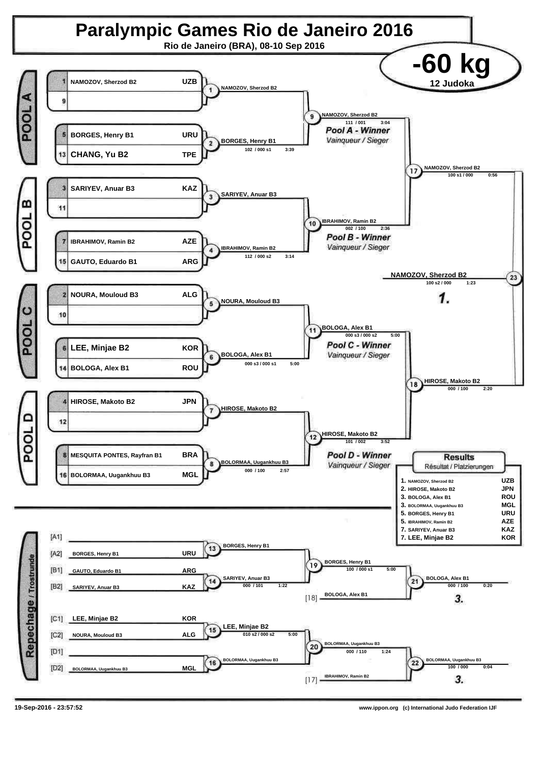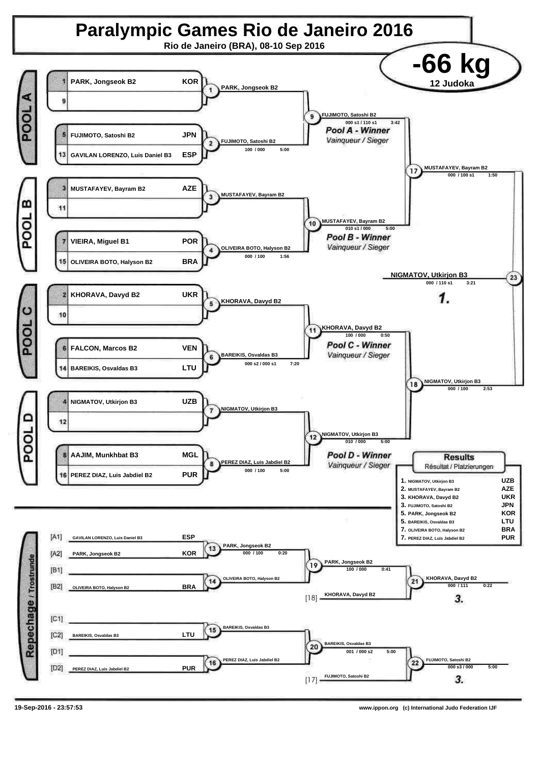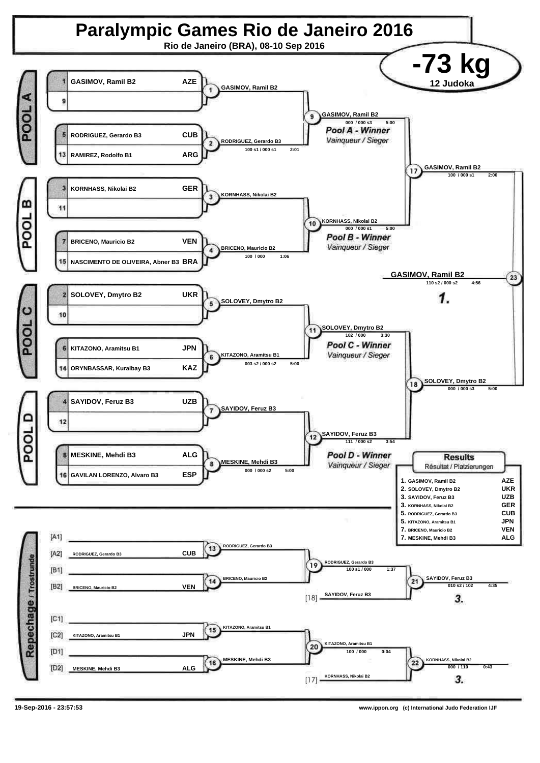![](_page_5_Figure_0.jpeg)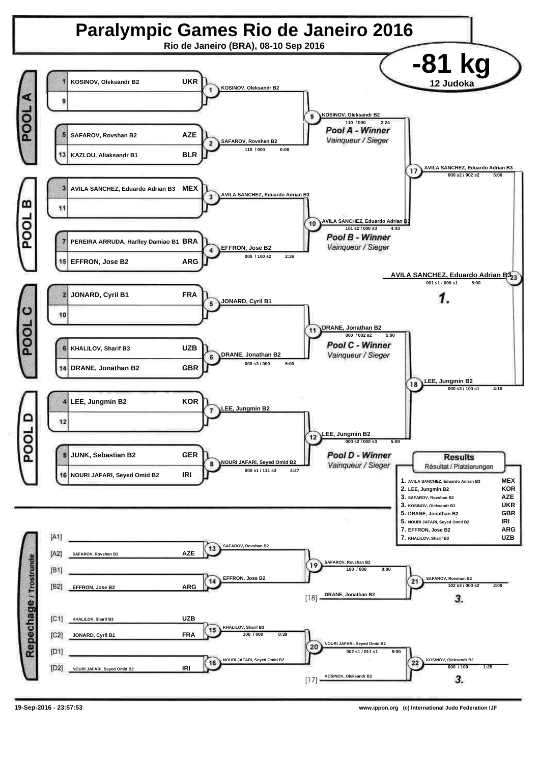![](_page_6_Figure_0.jpeg)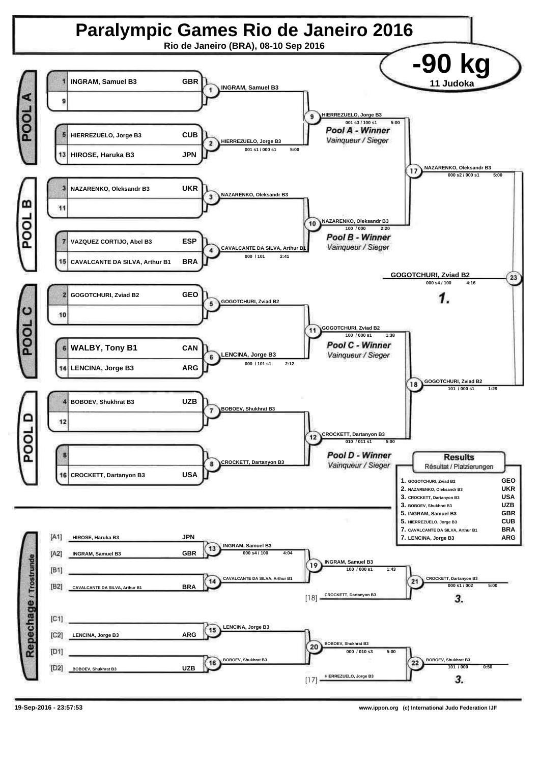![](_page_7_Figure_0.jpeg)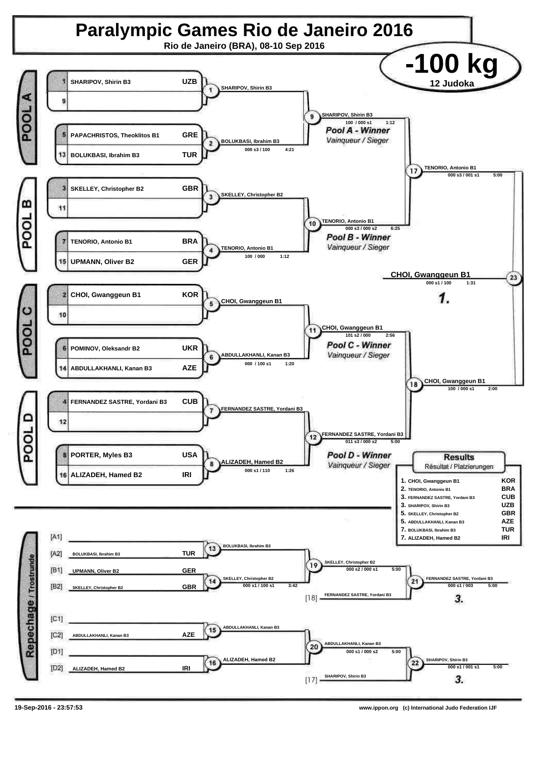![](_page_8_Figure_0.jpeg)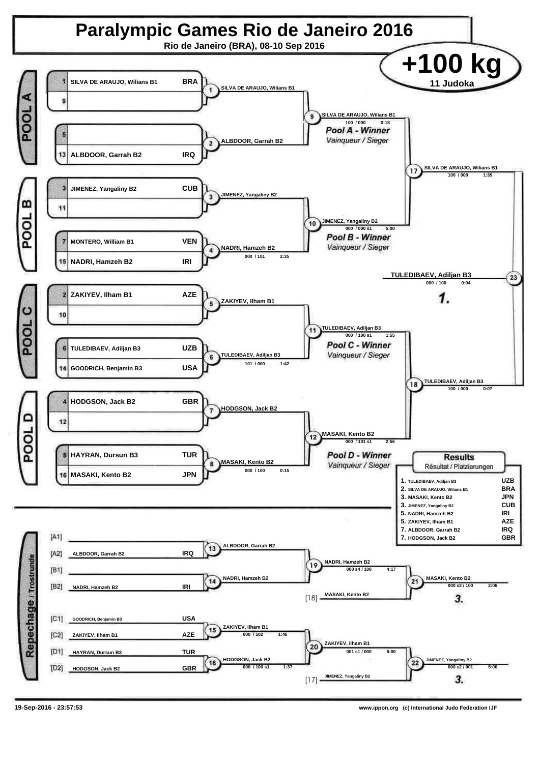![](_page_9_Figure_0.jpeg)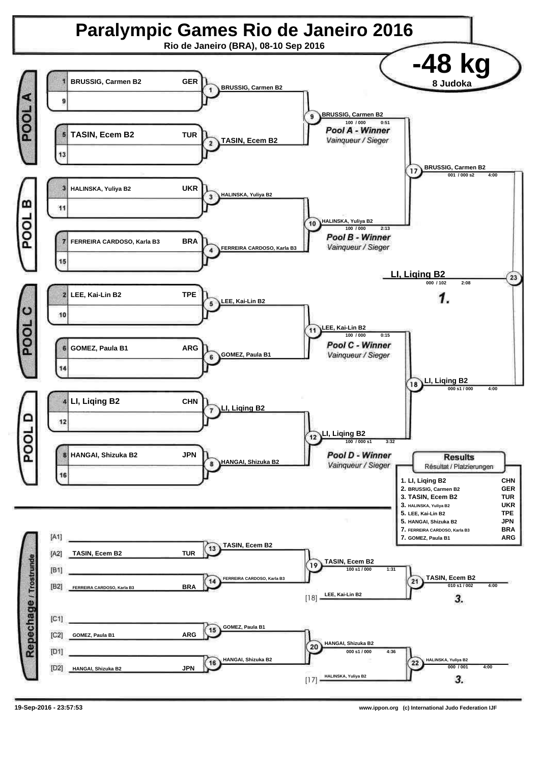![](_page_10_Figure_0.jpeg)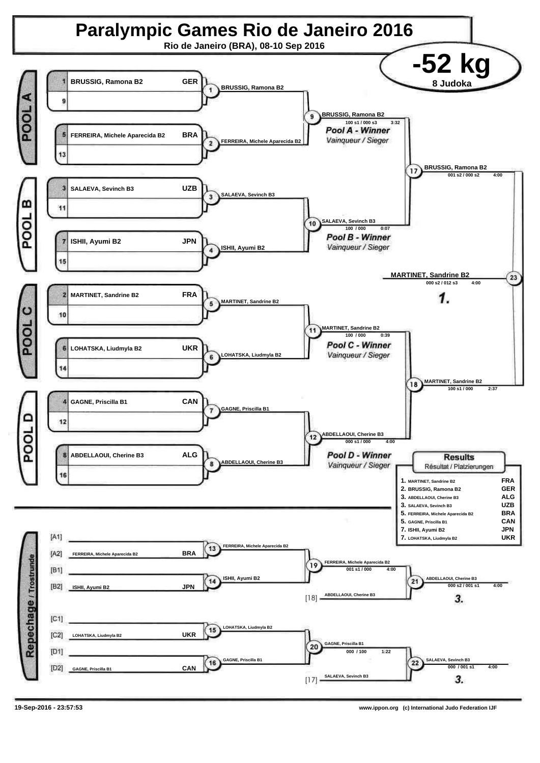![](_page_11_Figure_0.jpeg)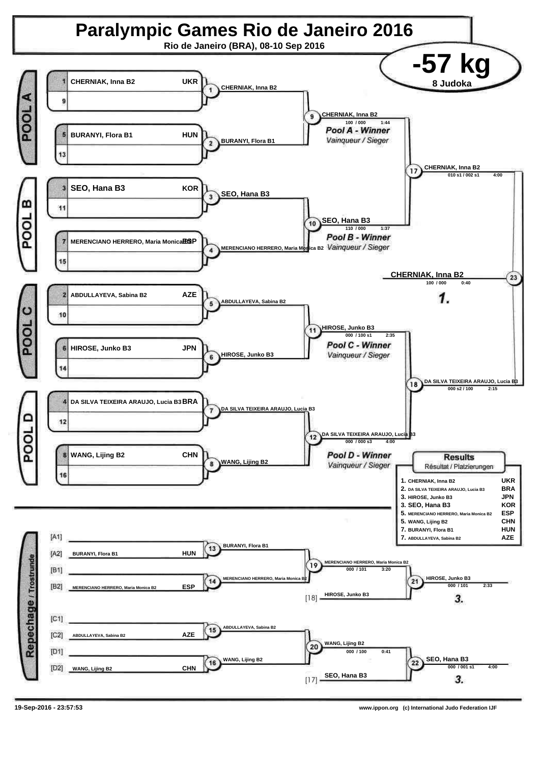![](_page_12_Figure_0.jpeg)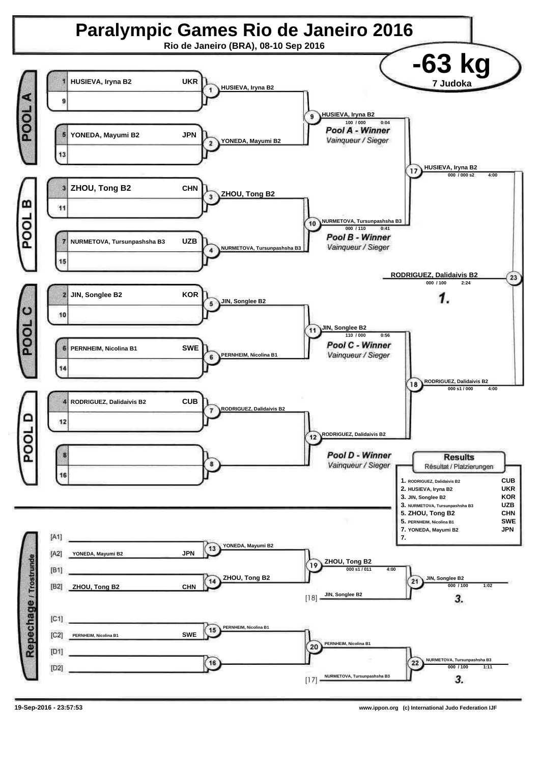![](_page_13_Figure_0.jpeg)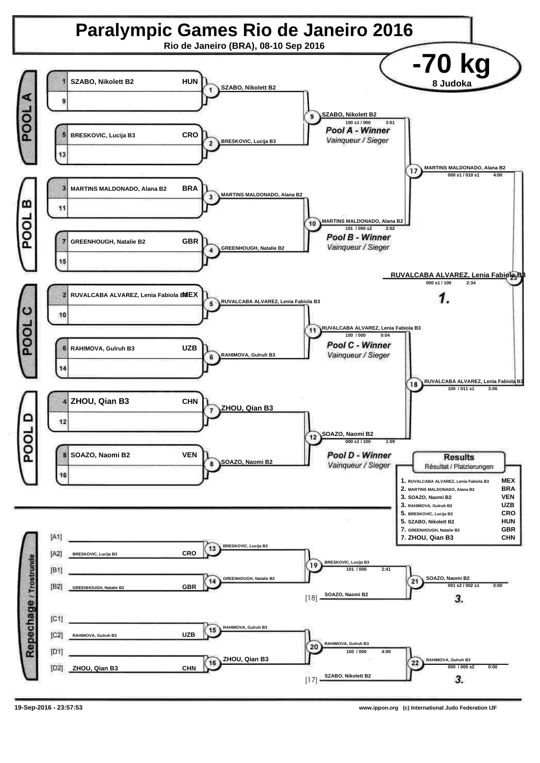![](_page_14_Figure_0.jpeg)